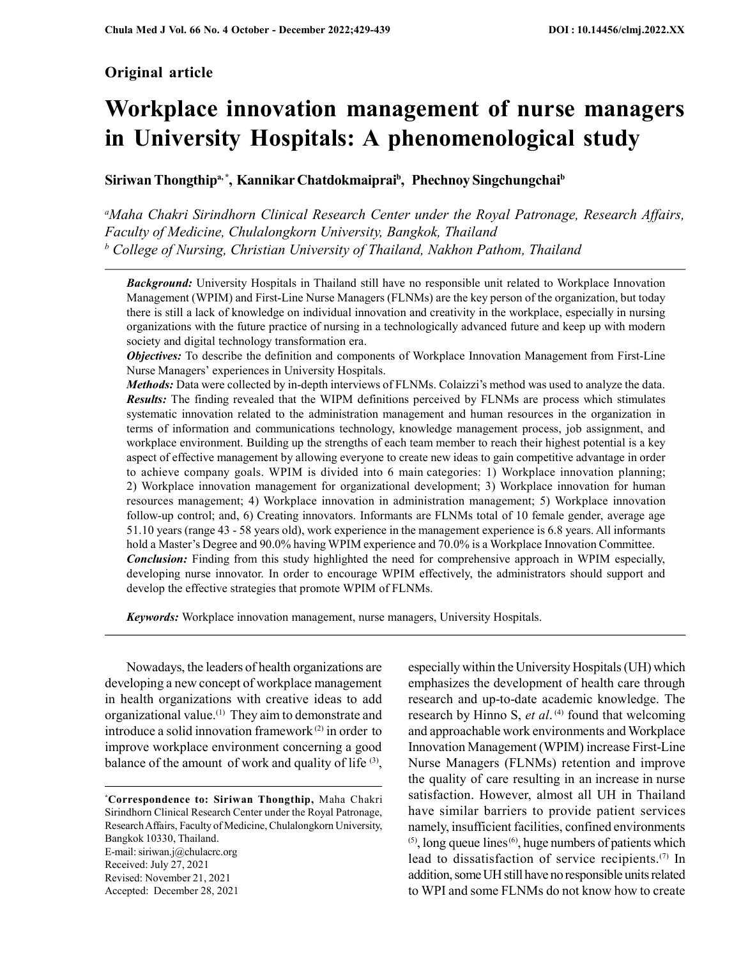# Original article

# Workplace innovation management of nurse managers in University Hospitals: A phenomenological study

Siriwan Thongthip<sup>a,\*</sup>, Kannikar Chatdokmaiprai<sup>b</sup>, Phechnoy Singchungchai<sup>b</sup>

<sup>a</sup>Maha Chakri Sirindhorn Clinical Research Center under the Royal Patronage, Research Affairs, Faculty of Medicine, Chulalongkorn University, Bangkok, Thailand  $b$  College of Nursing, Christian University of Thailand, Nakhon Pathom, Thailand

**Background:** University Hospitals in Thailand still have no responsible unit related to Workplace Innovation Management (WPIM) and First-Line Nurse Managers (FLNMs) are the key person of the organization, but today there is still a lack of knowledge on individual innovation and creativity in the workplace, especially in nursing organizations with the future practice of nursing in a technologically advanced future and keep up with modern society and digital technology transformation era.

**Objectives:** To describe the definition and components of Workplace Innovation Management from First-Line Nurse Managers' experiences in University Hospitals.

Methods: Data were collected by in-depth interviews of FLNMs. Colaizzi's method was used to analyze the data. Results: The finding revealed that the WIPM definitions perceived by FLNMs are process which stimulates systematic innovation related to the administration management and human resources in the organization in terms of information and communications technology, knowledge management process, job assignment, and workplace environment. Building up the strengths of each team member to reach their highest potential is a key aspect of effective management by allowing everyone to create new ideas to gain competitive advantage in order to achieve company goals. WPIM is divided into 6 main categories: 1) Workplace innovation planning; 2) Workplace innovation management for organizational development; 3) Workplace innovation for human resources management; 4) Workplace innovation in administration management; 5) Workplace innovation follow-up control; and, 6) Creating innovators. Informants are FLNMs total of 10 female gender, average age 51.10 years (range 43 - 58 years old), work experience in the management experience is 6.8 years. All informants hold a Master's Degree and 90.0% having WPIM experience and 70.0% is a Workplace Innovation Committee. **Conclusion:** Finding from this study highlighted the need for comprehensive approach in WPIM especially, developing nurse innovator. In order to encourage WPIM effectively, the administrators should support and develop the effective strategies that promote WPIM of FLNMs.

**Keywords:** Workplace innovation management, nurse managers, University Hospitals.

Nowadays, the leaders of health organizations are developing a new concept of workplace management in health organizations with creative ideas to add organizational value.(1) They aim to demonstrate and introduce a solid innovation framework (2) in order to improve workplace environment concerning a good balance of the amount of work and quality of life <sup>(3)</sup>,

\*Correspondence to: Siriwan Thongthip, Maha Chakri Sirindhorn Clinical Research Center under the Royal Patronage, Research Affairs, Faculty of Medicine, Chulalongkorn University, Bangkok 10330, Thailand. E-mail: siriwan.j@chulacrc.org Received: July 27, 2021 Revised: November 21, 2021 Accepted: December 28, 2021

especially within the University Hospitals (UH) which emphasizes the development of health care through research and up-to-date academic knowledge. The research by Hinno S, et  $al$ .<sup>(4)</sup> found that welcoming and approachable work environments and Workplace Innovation Management (WPIM) increase First-Line Nurse Managers (FLNMs) retention and improve the quality of care resulting in an increase in nurse satisfaction. However, almost all UH in Thailand have similar barriers to provide patient services namely, insufficient facilities, confined environments  $(5)$ , long queue lines $(6)$ , huge numbers of patients which lead to dissatisfaction of service recipients.(7) In addition, some UH still have no responsible units related to WPI and some FLNMs do not know how to create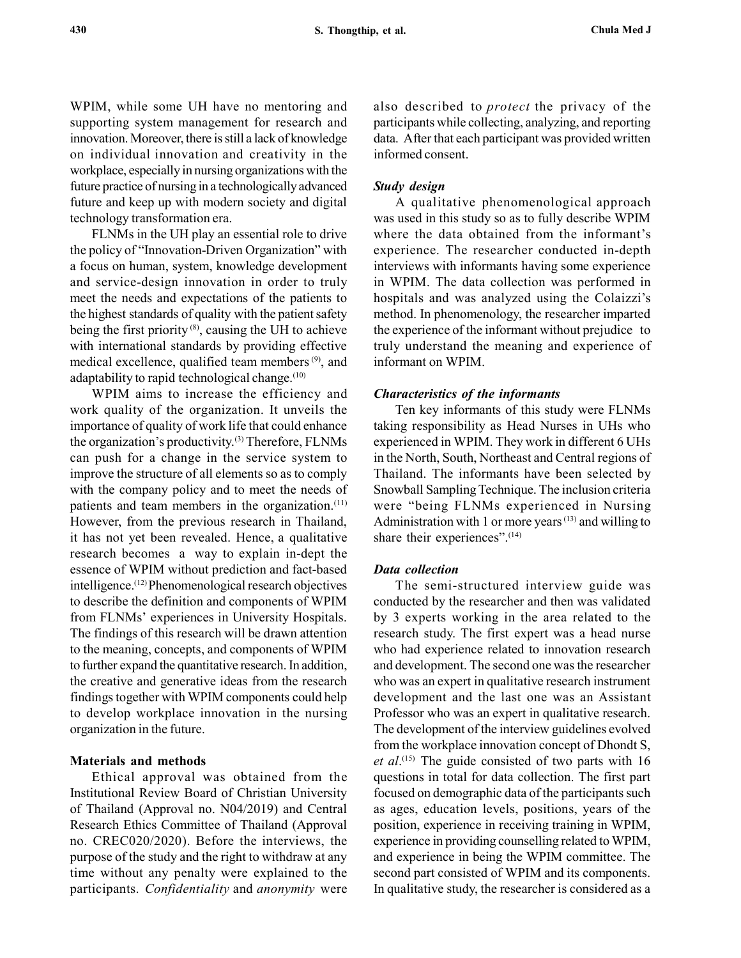WPIM, while some UH have no mentoring and supporting system management for research and innovation. Moreover, there is still a lack of knowledge on individual innovation and creativity in the workplace, especially in nursing organizations with the future practice of nursing in a technologically advanced future and keep up with modern society and digital technology transformation era.

FLNMs in the UH play an essential role to drive the policy of "Innovation-Driven Organization" with a focus on human, system, knowledge development and service-design innovation in order to truly meet the needs and expectations of the patients to the highest standards of quality with the patient safety being the first priority (8), causing the UH to achieve with international standards by providing effective medical excellence, qualified team members (9), and adaptability to rapid technological change. $(10)$ 

WPIM aims to increase the efficiency and work quality of the organization. It unveils the importance of quality of work life that could enhance the organization's productivity.(3) Therefore, FLNMs can push for a change in the service system to improve the structure of all elements so as to comply with the company policy and to meet the needs of patients and team members in the organization.<sup>(11)</sup> However, from the previous research in Thailand, it has not yet been revealed. Hence, a qualitative research becomes a way to explain in-dept the essence of WPIM without prediction and fact-based intelligence.(12) Phenomenological research objectives to describe the definition and components of WPIM from FLNMs' experiences in University Hospitals. The findings of this research will be drawn attention to the meaning, concepts, and components of WPIM to further expand the quantitative research. In addition, the creative and generative ideas from the research findings together with WPIM components could help to develop workplace innovation in the nursing organization in the future.

#### Materials and methods

Ethical approval was obtained from the Institutional Review Board of Christian University of Thailand (Approval no. N04/2019) and Central Research Ethics Committee of Thailand (Approval no. CREC020/2020). Before the interviews, the purpose of the study and the right to withdraw at any time without any penalty were explained to the participants. Confidentiality and anonymity were also described to *protect* the privacy of the participants while collecting, analyzing, and reporting data. After that each participant was provided written informed consent.

#### Study design

A qualitative phenomenological approach was used in this study so as to fully describe WPIM where the data obtained from the informant's experience. The researcher conducted in-depth interviews with informants having some experience in WPIM. The data collection was performed in hospitals and was analyzed using the Colaizzi's method. In phenomenology, the researcher imparted the experience of the informant without prejudice to truly understand the meaning and experience of informant on WPIM.

#### Characteristics of the informants

Ten key informants of this study were FLNMs taking responsibility as Head Nurses in UHs who experienced in WPIM. They work in different 6 UHs in the North, South, Northeast and Central regions of Thailand. The informants have been selected by Snowball Sampling Technique. The inclusion criteria were "being FLNMs experienced in Nursing Administration with 1 or more years  $(13)$  and willing to share their experiences".<sup>(14)</sup>

#### Data collection

The semi-structured interview guide was conducted by the researcher and then was validated by 3 experts working in the area related to the research study. The first expert was a head nurse who had experience related to innovation research and development. The second one was the researcher who was an expert in qualitative research instrument development and the last one was an Assistant Professor who was an expert in qualitative research. The development of the interview guidelines evolved from the workplace innovation concept of Dhondt S, et  $al$ .<sup>(15)</sup> The guide consisted of two parts with 16 questions in total for data collection. The first part focused on demographic data of the participants such as ages, education levels, positions, years of the position, experience in receiving training in WPIM, experience in providing counselling related to WPIM, and experience in being the WPIM committee. The second part consisted of WPIM and its components. In qualitative study, the researcher is considered as a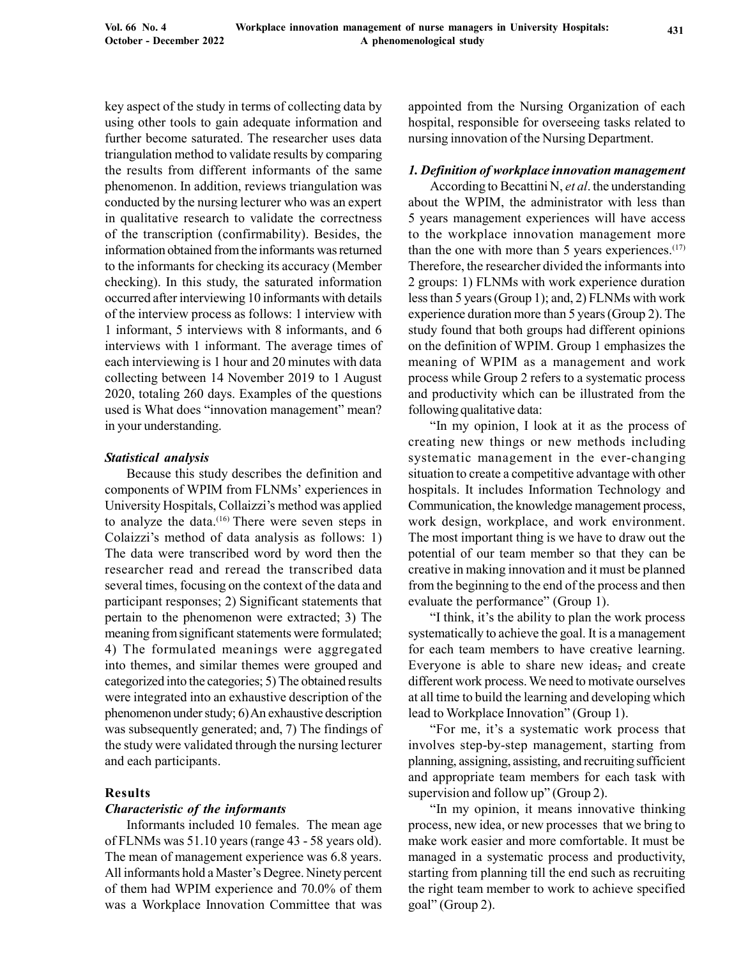key aspect of the study in terms of collecting data by using other tools to gain adequate information and further become saturated. The researcher uses data triangulation method to validate results by comparing the results from different informants of the same phenomenon. In addition, reviews triangulation was conducted by the nursing lecturer who was an expert in qualitative research to validate the correctness of the transcription (confirmability). Besides, the information obtained from the informants was returned to the informants for checking its accuracy (Member checking). In this study, the saturated information occurred after interviewing 10 informants with details of the interview process as follows: 1 interview with 1 informant, 5 interviews with 8 informants, and 6 interviews with 1 informant. The average times of each interviewing is 1 hour and 20 minutes with data collecting between 14 November 2019 to 1 August 2020, totaling 260 days. Examples of the questions used is What does "innovation management" mean? in your understanding.

### Statistical analysis

Because this study describes the definition and components of WPIM from FLNMs' experiences in University Hospitals, Collaizzi's method was applied to analyze the data.<sup>(16)</sup> There were seven steps in Colaizzi's method of data analysis as follows: 1) The data were transcribed word by word then the researcher read and reread the transcribed data several times, focusing on the context of the data and participant responses; 2) Significant statements that pertain to the phenomenon were extracted; 3) The meaning from significant statements were formulated; 4) The formulated meanings were aggregated into themes, and similar themes were grouped and categorized into the categories; 5) The obtained results were integrated into an exhaustive description of the phenomenon under study; 6) An exhaustive description was subsequently generated; and, 7) The findings of the study were validated through the nursing lecturer and each participants.

## Results

#### Characteristic of the informants

Informants included 10 females. The mean age of FLNMs was 51.10 years (range 43 - 58 years old). The mean of management experience was 6.8 years. All informants hold a Master's Degree. Ninety percent of them had WPIM experience and 70.0% of them was a Workplace Innovation Committee that was appointed from the Nursing Organization of each hospital, responsible for overseeing tasks related to nursing innovation of the Nursing Department.

#### 1. Definition of workplace innovation management

According to Becattini N, et al. the understanding about the WPIM, the administrator with less than 5 years management experiences will have access to the workplace innovation management more than the one with more than 5 years experiences. $(17)$ Therefore, the researcher divided the informants into 2 groups: 1) FLNMs with work experience duration less than 5 years (Group 1); and, 2) FLNMs with work experience duration more than 5 years (Group 2). The study found that both groups had different opinions on the definition of WPIM. Group 1 emphasizes the meaning of WPIM as a management and work process while Group 2 refers to a systematic process and productivity which can be illustrated from the following qualitative data:

"In my opinion, I look at it as the process of creating new things or new methods including systematic management in the ever-changing situation to create a competitive advantage with other hospitals. It includes Information Technology and Communication, the knowledge management process, work design, workplace, and work environment. The most important thing is we have to draw out the potential of our team member so that they can be creative in making innovation and it must be planned from the beginning to the end of the process and then evaluate the performance" (Group 1).

"I think, it's the ability to plan the work process systematically to achieve the goal. It is a management for each team members to have creative learning. Everyone is able to share new ideas, and create different work process. We need to motivate ourselves at all time to build the learning and developing which lead to Workplace Innovation" (Group 1).

"For me, it's a systematic work process that involves step-by-step management, starting from planning, assigning, assisting, and recruiting sufficient and appropriate team members for each task with supervision and follow up" (Group 2).

"In my opinion, it means innovative thinking process, new idea, or new processes that we bring to make work easier and more comfortable. It must be managed in a systematic process and productivity, starting from planning till the end such as recruiting the right team member to work to achieve specified goal" (Group 2).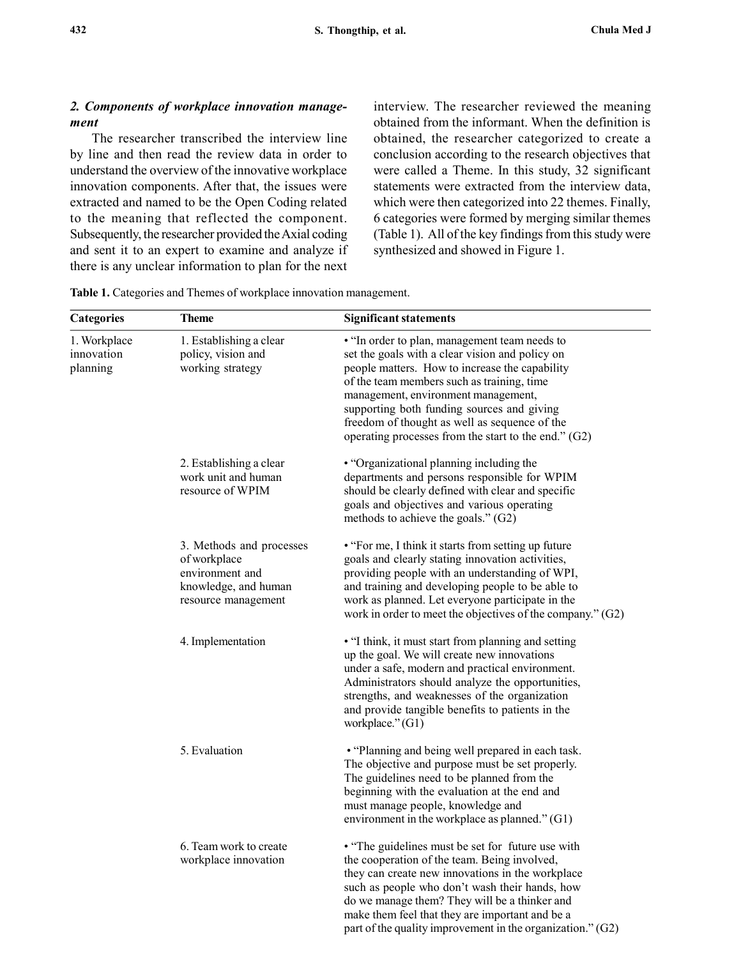## 2. Components of workplace innovation management

The researcher transcribed the interview line by line and then read the review data in order to understand the overview of the innovative workplace innovation components. After that, the issues were extracted and named to be the Open Coding related to the meaning that reflected the component. Subsequently, the researcher provided the Axial coding and sent it to an expert to examine and analyze if there is any unclear information to plan for the next interview. The researcher reviewed the meaning obtained from the informant. When the definition is obtained, the researcher categorized to create a conclusion according to the research objectives that were called a Theme. In this study, 32 significant statements were extracted from the interview data, which were then categorized into 22 themes. Finally, 6 categories were formed by merging similar themes (Table 1). All of the key findings from this study were synthesized and showed in Figure 1.

| <b>Categories</b>                      | <b>Theme</b>                                                                                               | <b>Significant statements</b>                                                                                                                                                                                                                                                                                                                                                                    |
|----------------------------------------|------------------------------------------------------------------------------------------------------------|--------------------------------------------------------------------------------------------------------------------------------------------------------------------------------------------------------------------------------------------------------------------------------------------------------------------------------------------------------------------------------------------------|
| 1. Workplace<br>innovation<br>planning | 1. Establishing a clear<br>policy, vision and<br>working strategy                                          | • "In order to plan, management team needs to<br>set the goals with a clear vision and policy on<br>people matters. How to increase the capability<br>of the team members such as training, time<br>management, environment management,<br>supporting both funding sources and giving<br>freedom of thought as well as sequence of the<br>operating processes from the start to the end." $(G2)$ |
|                                        | 2. Establishing a clear<br>work unit and human<br>resource of WPIM                                         | • "Organizational planning including the<br>departments and persons responsible for WPIM<br>should be clearly defined with clear and specific<br>goals and objectives and various operating<br>methods to achieve the goals." (G2)                                                                                                                                                               |
|                                        | 3. Methods and processes<br>of workplace<br>environment and<br>knowledge, and human<br>resource management | • "For me, I think it starts from setting up future<br>goals and clearly stating innovation activities,<br>providing people with an understanding of WPI,<br>and training and developing people to be able to<br>work as planned. Let everyone participate in the<br>work in order to meet the objectives of the company." $(G2)$                                                                |
|                                        | 4. Implementation                                                                                          | • "I think, it must start from planning and setting<br>up the goal. We will create new innovations<br>under a safe, modern and practical environment.<br>Administrators should analyze the opportunities,<br>strengths, and weaknesses of the organization<br>and provide tangible benefits to patients in the<br>workplace." (G1)                                                               |
|                                        | 5. Evaluation                                                                                              | • "Planning and being well prepared in each task.<br>The objective and purpose must be set properly.<br>The guidelines need to be planned from the<br>beginning with the evaluation at the end and<br>must manage people, knowledge and<br>environment in the workplace as planned." $(G1)$                                                                                                      |
|                                        | 6. Team work to create<br>workplace innovation                                                             | • "The guidelines must be set for future use with<br>the cooperation of the team. Being involved,<br>they can create new innovations in the workplace<br>such as people who don't wash their hands, how<br>do we manage them? They will be a thinker and<br>make them feel that they are important and be a<br>part of the quality improvement in the organization." $(G2)$                      |

Table 1. Categories and Themes of workplace innovation management.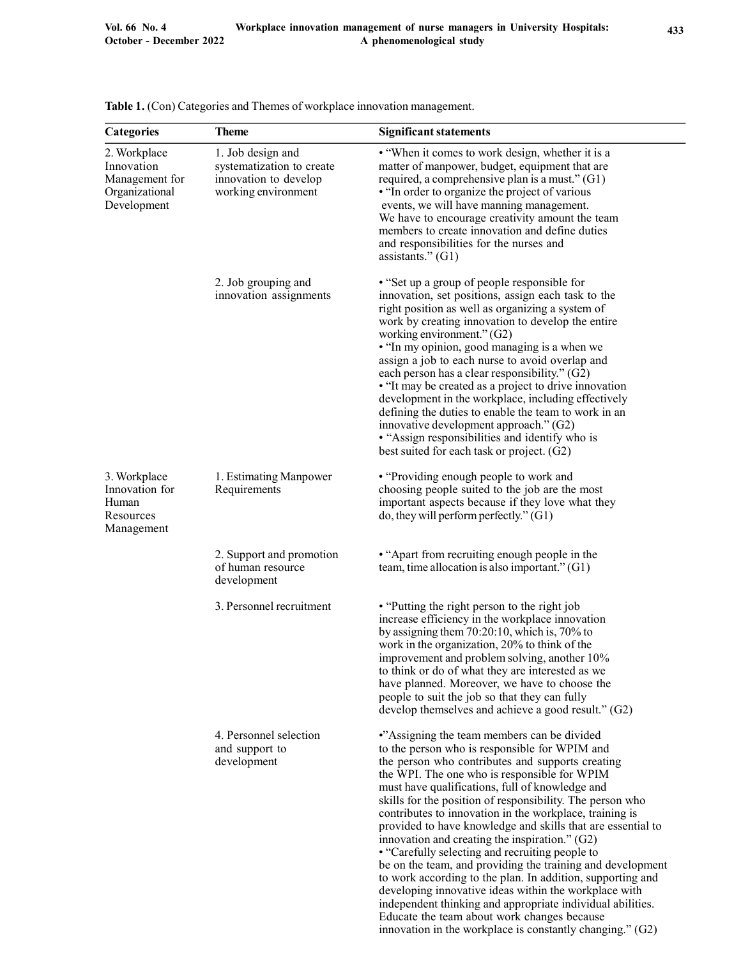| Categories                                                                    | <b>Theme</b>                                                                                   | <b>Significant statements</b>                                                                                                                                                                                                                                                                                                                                                                                                                                                                                                                                                                                                                                                                                                                                                                        |  |  |  |
|-------------------------------------------------------------------------------|------------------------------------------------------------------------------------------------|------------------------------------------------------------------------------------------------------------------------------------------------------------------------------------------------------------------------------------------------------------------------------------------------------------------------------------------------------------------------------------------------------------------------------------------------------------------------------------------------------------------------------------------------------------------------------------------------------------------------------------------------------------------------------------------------------------------------------------------------------------------------------------------------------|--|--|--|
| 2. Workplace<br>Innovation<br>Management for<br>Organizational<br>Development | 1. Job design and<br>systematization to create<br>innovation to develop<br>working environment | • "When it comes to work design, whether it is a<br>matter of manpower, budget, equipment that are<br>required, a comprehensive plan is a must." (G1)<br>. "In order to organize the project of various<br>events, we will have manning management.<br>We have to encourage creativity amount the team<br>members to create innovation and define duties<br>and responsibilities for the nurses and<br>assistants." $(G1)$                                                                                                                                                                                                                                                                                                                                                                           |  |  |  |
|                                                                               | 2. Job grouping and<br>innovation assignments                                                  | • "Set up a group of people responsible for<br>innovation, set positions, assign each task to the<br>right position as well as organizing a system of<br>work by creating innovation to develop the entire<br>working environment." (G2)<br>• "In my opinion, good managing is a when we<br>assign a job to each nurse to avoid overlap and<br>each person has a clear responsibility." (G2)<br>• "It may be created as a project to drive innovation<br>development in the workplace, including effectively<br>defining the duties to enable the team to work in an<br>innovative development approach." (G2)<br>• "Assign responsibilities and identify who is<br>best suited for each task or project. (G2)                                                                                       |  |  |  |
| 3. Workplace<br>Innovation for<br>Human<br>Resources<br>Management            | 1. Estimating Manpower<br>Requirements                                                         | • "Providing enough people to work and<br>choosing people suited to the job are the most<br>important aspects because if they love what they<br>do, they will perform perfectly." (G1)                                                                                                                                                                                                                                                                                                                                                                                                                                                                                                                                                                                                               |  |  |  |
|                                                                               | 2. Support and promotion<br>of human resource<br>development                                   | • "Apart from recruiting enough people in the<br>team, time allocation is also important." $(G1)$                                                                                                                                                                                                                                                                                                                                                                                                                                                                                                                                                                                                                                                                                                    |  |  |  |
|                                                                               | 3. Personnel recruitment                                                                       | • "Putting the right person to the right job<br>increase efficiency in the workplace innovation<br>by assigning them $70:20:10$ , which is, $70\%$ to<br>work in the organization, 20% to think of the<br>improvement and problem solving, another 10%<br>to think or do of what they are interested as we<br>have planned. Moreover, we have to choose the<br>people to suit the job so that they can fully<br>develop themselves and achieve a good result." $(G2)$                                                                                                                                                                                                                                                                                                                                |  |  |  |
|                                                                               | 4. Personnel selection<br>and support to<br>development                                        | •"Assigning the team members can be divided<br>to the person who is responsible for WPIM and<br>the person who contributes and supports creating<br>the WPI. The one who is responsible for WPIM<br>must have qualifications, full of knowledge and<br>skills for the position of responsibility. The person who<br>contributes to innovation in the workplace, training is<br>provided to have knowledge and skills that are essential to<br>innovation and creating the inspiration." $(G2)$<br>• "Carefully selecting and recruiting people to<br>be on the team, and providing the training and development<br>to work according to the plan. In addition, supporting and<br>developing innovative ideas within the workplace with<br>independent thinking and appropriate individual abilities. |  |  |  |

|  | Table 1. (Con) Categories and Themes of workplace innovation management. |  |
|--|--------------------------------------------------------------------------|--|

Educate the team about work changes because innovation in the workplace is constantly changing." (G2)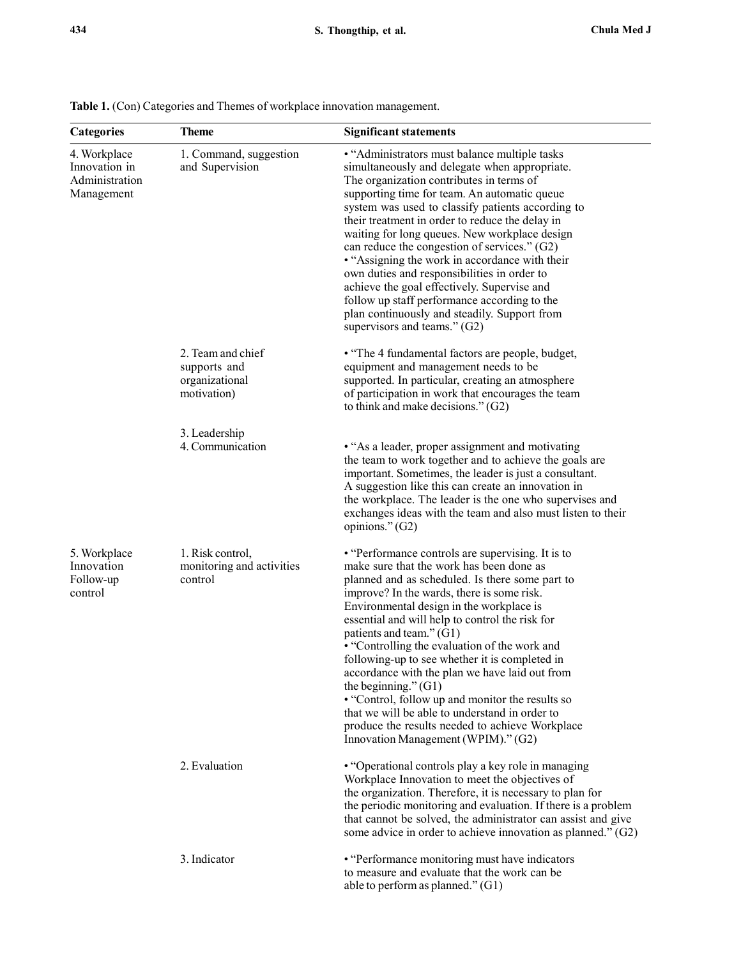| 4. Workplace<br>Innovation in<br>Administration<br>Management | 1. Command, suggestion<br>and Supervision                          | • "Administrators must balance multiple tasks<br>simultaneously and delegate when appropriate.<br>The organization contributes in terms of<br>supporting time for team. An automatic queue<br>system was used to classify patients according to<br>their treatment in order to reduce the delay in<br>waiting for long queues. New workplace design<br>can reduce the congestion of services." $(G2)$<br>• "Assigning the work in accordance with their<br>own duties and responsibilities in order to<br>achieve the goal effectively. Supervise and<br>follow up staff performance according to the<br>plan continuously and steadily. Support from<br>supervisors and teams." (G2)                    |  |  |  |  |
|---------------------------------------------------------------|--------------------------------------------------------------------|----------------------------------------------------------------------------------------------------------------------------------------------------------------------------------------------------------------------------------------------------------------------------------------------------------------------------------------------------------------------------------------------------------------------------------------------------------------------------------------------------------------------------------------------------------------------------------------------------------------------------------------------------------------------------------------------------------|--|--|--|--|
|                                                               | 2. Team and chief<br>supports and<br>organizational<br>motivation) | • "The 4 fundamental factors are people, budget,<br>equipment and management needs to be<br>supported. In particular, creating an atmosphere<br>of participation in work that encourages the team<br>to think and make decisions." $(G2)$                                                                                                                                                                                                                                                                                                                                                                                                                                                                |  |  |  |  |
|                                                               | 3. Leadership<br>4. Communication                                  | • "As a leader, proper assignment and motivating<br>the team to work together and to achieve the goals are<br>important. Sometimes, the leader is just a consultant.<br>A suggestion like this can create an innovation in<br>the workplace. The leader is the one who supervises and<br>exchanges ideas with the team and also must listen to their<br>opinions." (G2)                                                                                                                                                                                                                                                                                                                                  |  |  |  |  |
| 5. Workplace<br>Innovation<br>Follow-up<br>control            | 1. Risk control,<br>monitoring and activities<br>control           | • "Performance controls are supervising. It is to<br>make sure that the work has been done as<br>planned and as scheduled. Is there some part to<br>improve? In the wards, there is some risk.<br>Environmental design in the workplace is<br>essential and will help to control the risk for<br>patients and team." (G1)<br>• "Controlling the evaluation of the work and<br>following-up to see whether it is completed in<br>accordance with the plan we have laid out from<br>the beginning." $(G1)$<br>• "Control, follow up and monitor the results so<br>that we will be able to understand in order to<br>produce the results needed to achieve Workplace<br>Innovation Management (WPIM)." (G2) |  |  |  |  |
|                                                               | 2. Evaluation                                                      | • "Operational controls play a key role in managing<br>Workplace Innovation to meet the objectives of<br>the organization. Therefore, it is necessary to plan for<br>the periodic monitoring and evaluation. If there is a problem<br>that cannot be solved, the administrator can assist and give<br>some advice in order to achieve innovation as planned." $(G2)$                                                                                                                                                                                                                                                                                                                                     |  |  |  |  |
|                                                               | 3. Indicator                                                       | • "Performance monitoring must have indicators<br>to measure and evaluate that the work can be<br>able to perform as planned." (G1)                                                                                                                                                                                                                                                                                                                                                                                                                                                                                                                                                                      |  |  |  |  |

|  | Table 1. (Con) Categories and Themes of workplace innovation management. |  |  |  |
|--|--------------------------------------------------------------------------|--|--|--|
|  |                                                                          |  |  |  |

Categories Theme Significant statements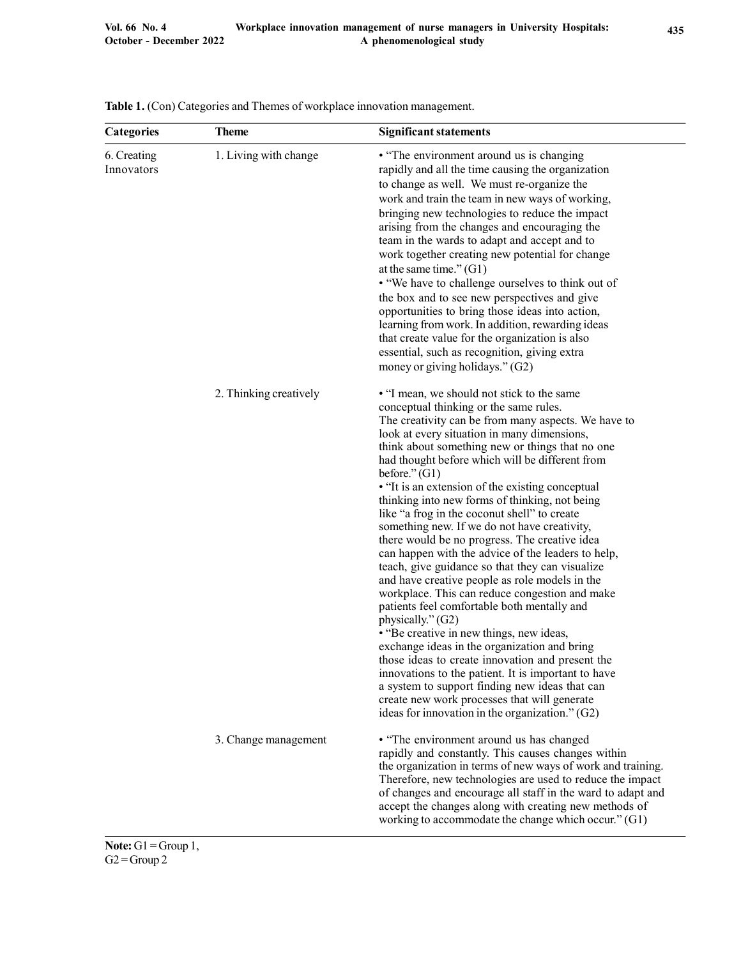| <b>Categories</b>         | <b>Theme</b>           | <b>Significant statements</b>                                                                                                                                                                                                                                                                                                                                                                                                                                                                                                                                                                                                                                                                                                                                                                                                                                                                                                                                                                                                                                                                                                                                                                                             |  |  |
|---------------------------|------------------------|---------------------------------------------------------------------------------------------------------------------------------------------------------------------------------------------------------------------------------------------------------------------------------------------------------------------------------------------------------------------------------------------------------------------------------------------------------------------------------------------------------------------------------------------------------------------------------------------------------------------------------------------------------------------------------------------------------------------------------------------------------------------------------------------------------------------------------------------------------------------------------------------------------------------------------------------------------------------------------------------------------------------------------------------------------------------------------------------------------------------------------------------------------------------------------------------------------------------------|--|--|
| 6. Creating<br>Innovators | 1. Living with change  | • "The environment around us is changing<br>rapidly and all the time causing the organization<br>to change as well. We must re-organize the<br>work and train the team in new ways of working,<br>bringing new technologies to reduce the impact<br>arising from the changes and encouraging the<br>team in the wards to adapt and accept and to<br>work together creating new potential for change<br>at the same time." $(G1)$<br>• "We have to challenge ourselves to think out of<br>the box and to see new perspectives and give<br>opportunities to bring those ideas into action,<br>learning from work. In addition, rewarding ideas<br>that create value for the organization is also<br>essential, such as recognition, giving extra<br>money or giving holidays." (G2)                                                                                                                                                                                                                                                                                                                                                                                                                                         |  |  |
|                           | 2. Thinking creatively | • "I mean, we should not stick to the same<br>conceptual thinking or the same rules.<br>The creativity can be from many aspects. We have to<br>look at every situation in many dimensions,<br>think about something new or things that no one<br>had thought before which will be different from<br>before." $(G1)$<br>• "It is an extension of the existing conceptual<br>thinking into new forms of thinking, not being<br>like "a frog in the coconut shell" to create<br>something new. If we do not have creativity,<br>there would be no progress. The creative idea<br>can happen with the advice of the leaders to help,<br>teach, give guidance so that they can visualize<br>and have creative people as role models in the<br>workplace. This can reduce congestion and make<br>patients feel comfortable both mentally and<br>physically." (G2)<br>• "Be creative in new things, new ideas,<br>exchange ideas in the organization and bring<br>those ideas to create innovation and present the<br>innovations to the patient. It is important to have<br>a system to support finding new ideas that can<br>create new work processes that will generate<br>ideas for innovation in the organization." $(G2)$ |  |  |
|                           | 3. Change management   | • "The environment around us has changed<br>rapidly and constantly. This causes changes within<br>the organization in terms of new ways of work and training.<br>Therefore, new technologies are used to reduce the impact<br>of changes and encourage all staff in the ward to adapt and<br>accept the changes along with creating new methods of<br>working to accommodate the change which occur." (G1)                                                                                                                                                                                                                                                                                                                                                                                                                                                                                                                                                                                                                                                                                                                                                                                                                |  |  |

|  | <b>Table 1.</b> (Con) Categories and Themes of workplace innovation management. |  |  |  |
|--|---------------------------------------------------------------------------------|--|--|--|
|  |                                                                                 |  |  |  |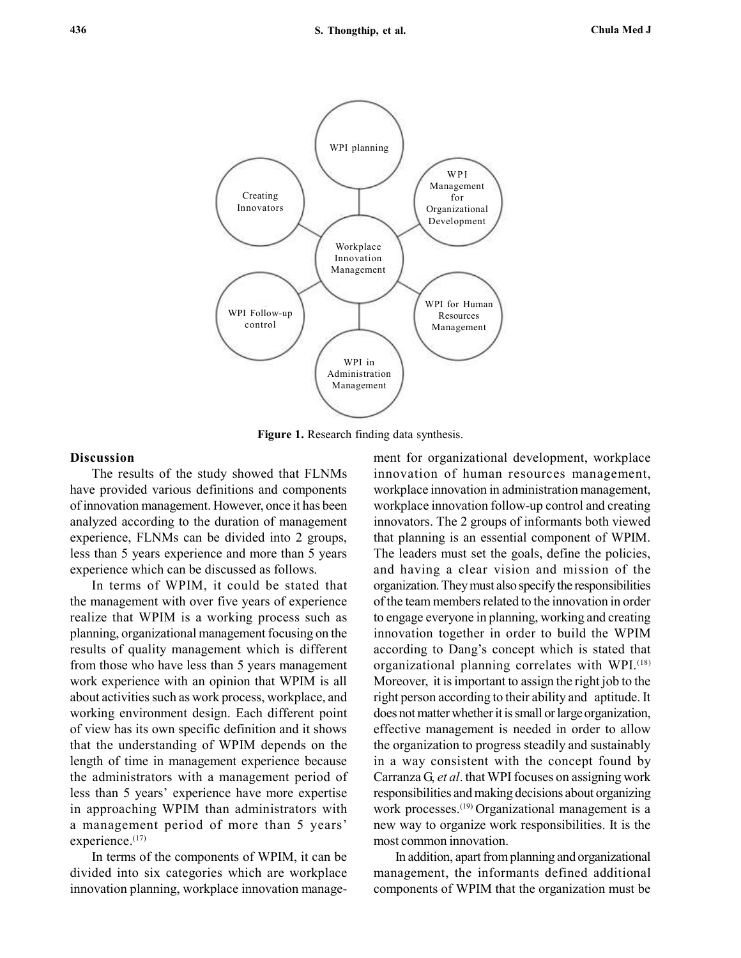

Figure 1. Research finding data synthesis.

#### Discussion

The results of the study showed that FLNMs have provided various definitions and components of innovation management. However, once it has been analyzed according to the duration of management experience, FLNMs can be divided into 2 groups, less than 5 years experience and more than 5 years experience which can be discussed as follows.

In terms of WPIM, it could be stated that the management with over five years of experience realize that WPIM is a working process such as planning, organizational management focusing on the results of quality management which is different from those who have less than 5 years management work experience with an opinion that WPIM is all about activities such as work process, workplace, and working environment design. Each different point of view has its own specific definition and it shows that the understanding of WPIM depends on the length of time in management experience because the administrators with a management period of less than 5 years' experience have more expertise in approaching WPIM than administrators with a management period of more than 5 years' experience.<sup>(17)</sup>

In terms of the components of WPIM, it can be divided into six categories which are workplace innovation planning, workplace innovation management for organizational development, workplace innovation of human resources management, workplace innovation in administration management, workplace innovation follow-up control and creating innovators. The 2 groups of informants both viewed that planning is an essential component of WPIM. The leaders must set the goals, define the policies, and having a clear vision and mission of the organization. They must also specify the responsibilities of the team members related to the innovation in order to engage everyone in planning, working and creating innovation together in order to build the WPIM according to Dang's concept which is stated that organizational planning correlates with WPI.(18) Moreover, it is important to assign the right job to the right person according to their ability and aptitude. It does not matter whether it is small or large organization, effective management is needed in order to allow the organization to progress steadily and sustainably in a way consistent with the concept found by Carranza G, et al. that WPI focuses on assigning work responsibilities and making decisions about organizing work processes.<sup>(19)</sup> Organizational management is a new way to organize work responsibilities. It is the most common innovation.

In addition, apart from planning and organizational management, the informants defined additional components of WPIM that the organization must be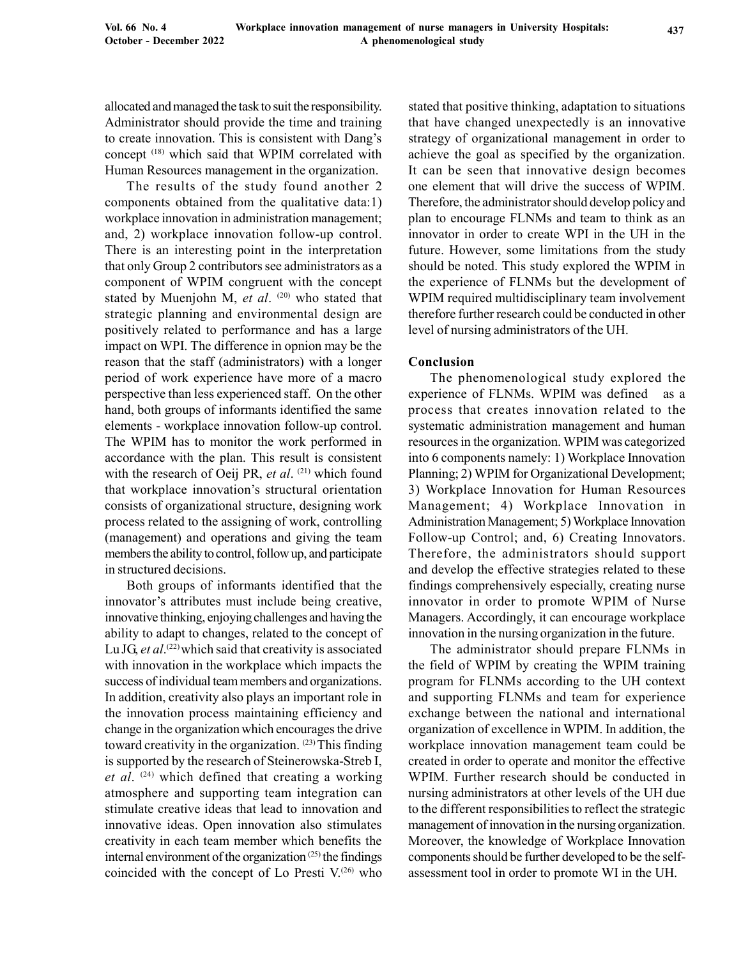allocated and managed the task to suit the responsibility. Administrator should provide the time and training to create innovation. This is consistent with Dang's concept (18) which said that WPIM correlated with Human Resources management in the organization.

The results of the study found another 2 components obtained from the qualitative data:1) workplace innovation in administration management; and, 2) workplace innovation follow-up control. There is an interesting point in the interpretation that only Group 2 contributors see administrators as a component of WPIM congruent with the concept stated by Muenjohn M, et al.  $(20)$  who stated that strategic planning and environmental design are positively related to performance and has a large impact on WPI. The difference in opnion may be the reason that the staff (administrators) with a longer period of work experience have more of a macro perspective than less experienced staff. On the other hand, both groups of informants identified the same elements - workplace innovation follow-up control. The WPIM has to monitor the work performed in accordance with the plan. This result is consistent with the research of Oeij PR, et al.  $(21)$  which found that workplace innovation's structural orientation consists of organizational structure, designing work process related to the assigning of work, controlling (management) and operations and giving the team members the ability to control, follow up, and participate in structured decisions.

Both groups of informants identified that the innovator's attributes must include being creative, innovative thinking, enjoying challenges and having the ability to adapt to changes, related to the concept of Lu JG, et al.<sup>(22)</sup> which said that creativity is associated with innovation in the workplace which impacts the success of individual team members and organizations. In addition, creativity also plays an important role in the innovation process maintaining efficiency and change in the organization which encourages the drive toward creativity in the organization. (23) This finding is supported by the research of Steinerowska-Streb I, et al.  $(24)$  which defined that creating a working atmosphere and supporting team integration can stimulate creative ideas that lead to innovation and innovative ideas. Open innovation also stimulates creativity in each team member which benefits the internal environment of the organization  $(25)$  the findings coincided with the concept of Lo Presti  $V^{(26)}$  who

stated that positive thinking, adaptation to situations that have changed unexpectedly is an innovative strategy of organizational management in order to achieve the goal as specified by the organization. It can be seen that innovative design becomes one element that will drive the success of WPIM. Therefore, the administrator should develop policy and plan to encourage FLNMs and team to think as an innovator in order to create WPI in the UH in the future. However, some limitations from the study should be noted. This study explored the WPIM in the experience of FLNMs but the development of WPIM required multidisciplinary team involvement therefore further research could be conducted in other level of nursing administrators of the UH.

#### Conclusion

The phenomenological study explored the experience of FLNMs. WPIM was defined as a process that creates innovation related to the systematic administration management and human resources in the organization. WPIM was categorized into 6 components namely: 1) Workplace Innovation Planning; 2) WPIM for Organizational Development; 3) Workplace Innovation for Human Resources Management; 4) Workplace Innovation in Administration Management; 5) Workplace Innovation Follow-up Control; and, 6) Creating Innovators. Therefore, the administrators should support and develop the effective strategies related to these findings comprehensively especially, creating nurse innovator in order to promote WPIM of Nurse Managers. Accordingly, it can encourage workplace innovation in the nursing organization in the future.

The administrator should prepare FLNMs in the field of WPIM by creating the WPIM training program for FLNMs according to the UH context and supporting FLNMs and team for experience exchange between the national and international organization of excellence in WPIM. In addition, the workplace innovation management team could be created in order to operate and monitor the effective WPIM. Further research should be conducted in nursing administrators at other levels of the UH due to the different responsibilities to reflect the strategic management of innovation in the nursing organization. Moreover, the knowledge of Workplace Innovation components should be further developed to be the selfassessment tool in order to promote WI in the UH.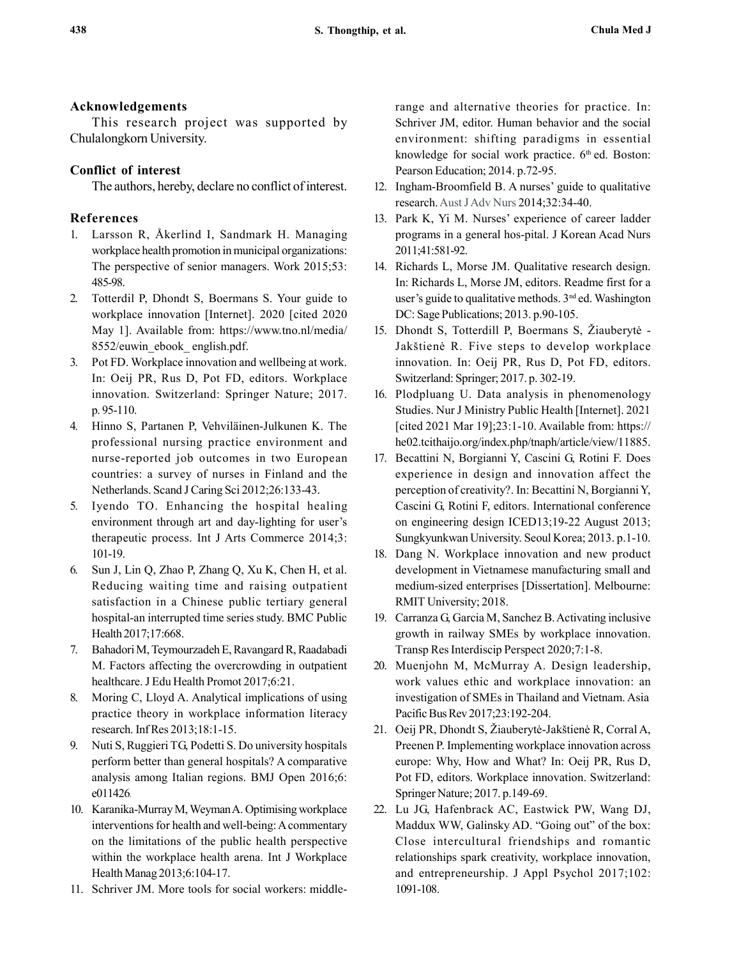## Acknowledgements

This research project was supported by Chulalongkorn University.

# Conflict of interest

The authors, hereby, declare no conflict of interest.

# References

- 1. Larsson R, Åkerlind I, Sandmark H. Managing workplace health promotion in municipal organizations: The perspective of senior managers. Work 2015;53: 485-98.
- 2. Totterdil P, Dhondt S, Boermans S. Your guide to workplace innovation [Internet]. 2020 [cited 2020 May 1]. Available from: https://www.tno.nl/media/ 8552/euwin\_ebook\_ english.pdf.
- 3. Pot FD. Workplace innovation and wellbeing at work. In: Oeij PR, Rus D, Pot FD, editors. Workplace innovation. Switzerland: Springer Nature; 2017. p. 95-110.
- 4. Hinno S, Partanen P, Vehviläinen-Julkunen K. The professional nursing practice environment and nurse-reported job outcomes in two European countries: a survey of nurses in Finland and the Netherlands. Scand J Caring Sci 2012;26:133-43.
- 5. Iyendo TO. Enhancing the hospital healing environment through art and day-lighting for user's therapeutic process. Int J Arts Commerce 2014;3: 101-19.
- 6. Sun J, Lin Q, Zhao P, Zhang Q, Xu K, Chen H, et al. Reducing waiting time and raising outpatient satisfaction in a Chinese public tertiary general hospital-an interrupted time series study. BMC Public Health 2017;17:668.
- 7. Bahadori M, Teymourzadeh E, Ravangard R, Raadabadi M. Factors affecting the overcrowding in outpatient healthcare. J Edu Health Promot 2017;6:21.
- 8. Moring C, Lloyd A. Analytical implications of using practice theory in workplace information literacy research. Inf Res 2013;18:1-15.
- 9. Nuti S, Ruggieri TG, Podetti S. Do university hospitals perform better than general hospitals? A comparative analysis among Italian regions. BMJ Open 2016;6: e011426.
- 10. Karanika-Murray M, Weyman A. Optimising workplace interventions for health and well-being: A commentary on the limitations of the public health perspective within the workplace health arena. Int J Workplace Health Manag 2013;6:104-17.
- 11. Schriver JM. More tools for social workers: middle-

range and alternative theories for practice. In: Schriver JM, editor. Human behavior and the social environment: shifting paradigms in essential knowledge for social work practice.  $6<sup>th</sup>$  ed. Boston: Pearson Education; 2014. p.72-95.

- 12. Ingham-Broomfield B. A nurses' guide to qualitative research. Aust J Adv Nurs 2014;32:34-40.
- 13. Park K, Yi M. Nurses' experience of career ladder programs in a general hos-pital. J Korean Acad Nurs 2011;41:581-92.
- 14. Richards L, Morse JM. Qualitative research design. In: Richards L, Morse JM, editors. Readme first for a user's guide to qualitative methods. 3<sup>nd</sup> ed. Washington DC: Sage Publications; 2013. p.90-105.
- 15. Dhondt S, Totterdill P, Boermans S, Žiauberytė Jakštienė R. Five steps to develop workplace innovation. In: Oeij PR, Rus D, Pot FD, editors. Switzerland: Springer; 2017. p. 302-19.
- 16. Plodpluang U. Data analysis in phenomenology Studies. Nur J Ministry Public Health [Internet]. 2021 [cited 2021 Mar 19];23:1-10. Available from: https:// he02.tcithaijo.org/index.php/tnaph/article/view/11885.
- 17. Becattini N, Borgianni Y, Cascini G, Rotini F. Does experience in design and innovation affect the perception of creativity?. In: Becattini N, Borgianni Y, Cascini G, Rotini F, editors. International conference on engineering design ICED13;19-22 August 2013; Sungkyunkwan University. Seoul Korea; 2013. p.1-10.
- 18. Dang N. Workplace innovation and new product development in Vietnamese manufacturing small and medium-sized enterprises [Dissertation]. Melbourne: RMIT University; 2018.
- 19. Carranza G, Garcia M, Sanchez B. Activating inclusive growth in railway SMEs by workplace innovation. Transp Res Interdiscip Perspect 2020;7:1-8.
- 20. Muenjohn M, McMurray A. Design leadership, work values ethic and workplace innovation: an investigation of SMEs in Thailand and Vietnam. Asia Pacific Bus Rev 2017;23:192-204.
- 21. Oeij PR, Dhondt S, Žiauberytė-Jakštienė R, Corral A, Preenen P. Implementing workplace innovation across europe: Why, How and What? In: Oeij PR, Rus D, Pot FD, editors. Workplace innovation. Switzerland: Springer Nature; 2017. p.149-69.
- 22. Lu JG, Hafenbrack AC, Eastwick PW, Wang DJ, Maddux WW, Galinsky AD. "Going out" of the box: Close intercultural friendships and romantic relationships spark creativity, workplace innovation, and entrepreneurship. J Appl Psychol 2017;102: 1091-108.